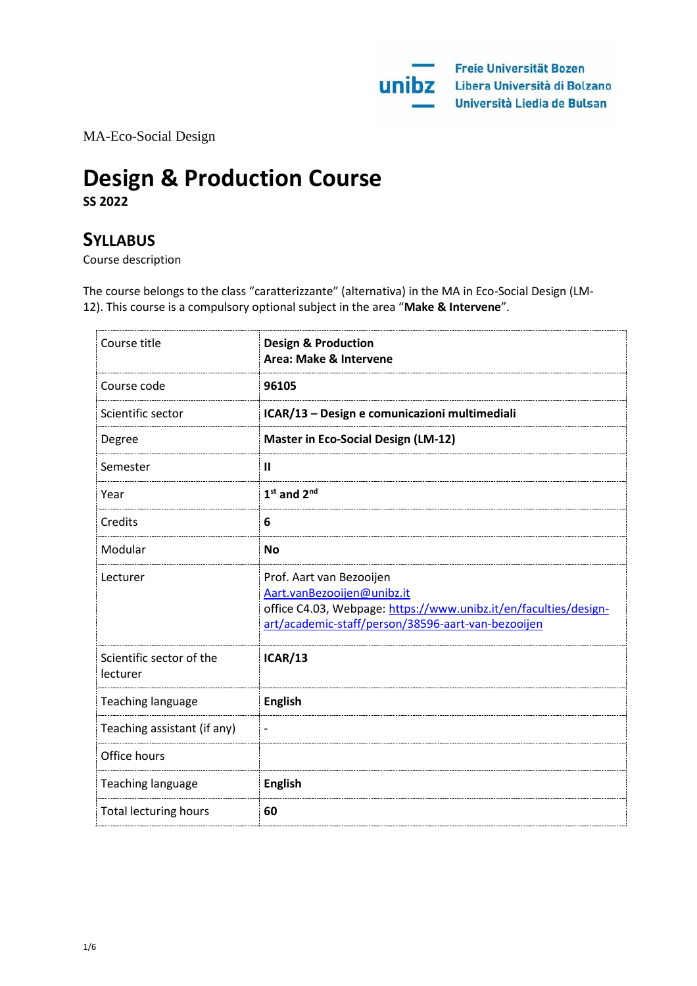MA-Eco-Social Design

# **Design & Production Course**

**SS 2022**

## **SYLLABUS**

Course description

The course belongs to the class "caratterizzante" (alternativa) in the MA in Eco-Social Design (LM-12). This course is a compulsory optional subject in the area "**Make & Intervene**".

| Course title                         | <b>Design &amp; Production</b><br>Area: Make & Intervene                                                                                                                         |
|--------------------------------------|----------------------------------------------------------------------------------------------------------------------------------------------------------------------------------|
| Course code                          | 96105                                                                                                                                                                            |
| Scientific sector                    | ICAR/13 - Design e comunicazioni multimediali                                                                                                                                    |
| Degree                               | <b>Master in Eco-Social Design (LM-12)</b>                                                                                                                                       |
| Semester                             | $\mathbf{I}$                                                                                                                                                                     |
| Year                                 | $1st$ and $2nd$                                                                                                                                                                  |
| Credits                              | 6                                                                                                                                                                                |
| Modular                              | <b>No</b>                                                                                                                                                                        |
| Lecturer                             | Prof. Aart van Bezooijen<br>Aart.vanBezooijen@unibz.it<br>office C4.03, Webpage: https://www.unibz.it/en/faculties/design-<br>art/academic-staff/person/38596-aart-van-bezooijen |
| Scientific sector of the<br>lecturer | <b>ICAR/13</b>                                                                                                                                                                   |
| <b>Teaching language</b>             | <b>English</b>                                                                                                                                                                   |
| Teaching assistant (if any)          |                                                                                                                                                                                  |
| Office hours                         |                                                                                                                                                                                  |
| <b>Teaching language</b>             | <b>English</b>                                                                                                                                                                   |
| <b>Total lecturing hours</b>         | 60                                                                                                                                                                               |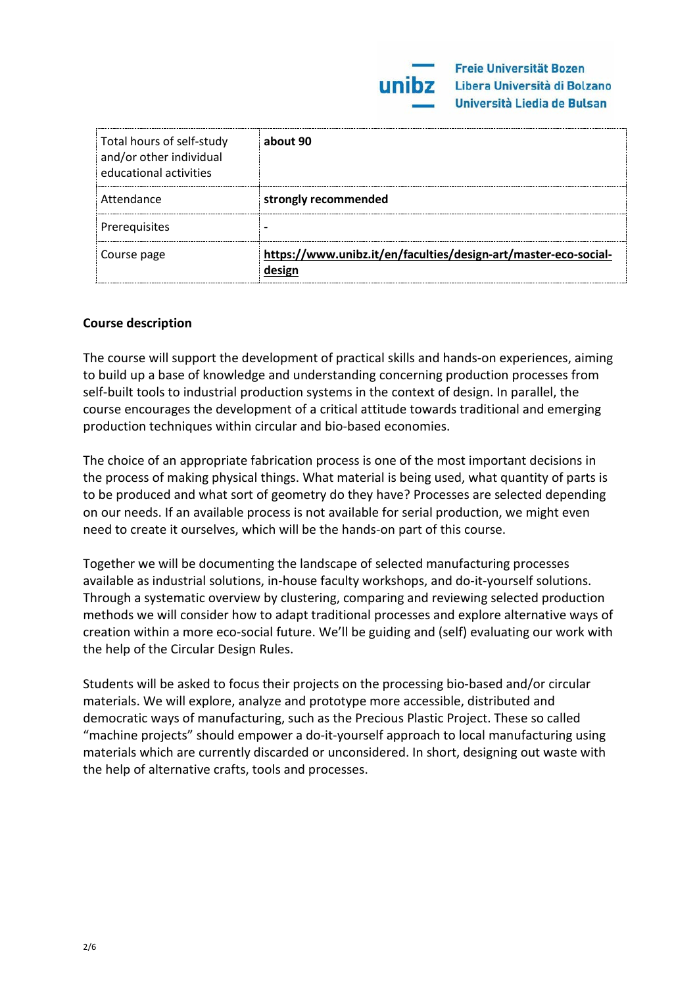| Total hours of self-study<br>and/or other individual<br>educational activities | about 90                                                        |
|--------------------------------------------------------------------------------|-----------------------------------------------------------------|
| Attendance                                                                     | strongly recommended                                            |
| Prerequisites                                                                  |                                                                 |
| Course page                                                                    | https://www.unibz.it/en/faculties/design-art/master-eco-social- |

#### **Course description**

The course will support the development of practical skills and hands-on experiences, aiming to build up a base of knowledge and understanding concerning production processes from self-built tools to industrial production systems in the context of design. In parallel, the course encourages the development of a critical attitude towards traditional and emerging production techniques within circular and bio-based economies.

The choice of an appropriate fabrication process is one of the most important decisions in the process of making physical things. What material is being used, what quantity of parts is to be produced and what sort of geometry do they have? Processes are selected depending on our needs. If an available process is not available for serial production, we might even need to create it ourselves, which will be the hands-on part of this course.

Together we will be documenting the landscape of selected manufacturing processes available as industrial solutions, in-house faculty workshops, and do-it-yourself solutions. Through a systematic overview by clustering, comparing and reviewing selected production methods we will consider how to adapt traditional processes and explore alternative ways of creation within a more eco-social future. We'll be guiding and (self) evaluating our work with the help of the Circular Design Rules.

Students will be asked to focus their projects on the processing bio-based and/or circular materials. We will explore, analyze and prototype more accessible, distributed and democratic ways of manufacturing, such as the Precious Plastic Project. These so called "machine projects" should empower a do-it-yourself approach to local manufacturing using materials which are currently discarded or unconsidered. In short, designing out waste with the help of alternative crafts, tools and processes.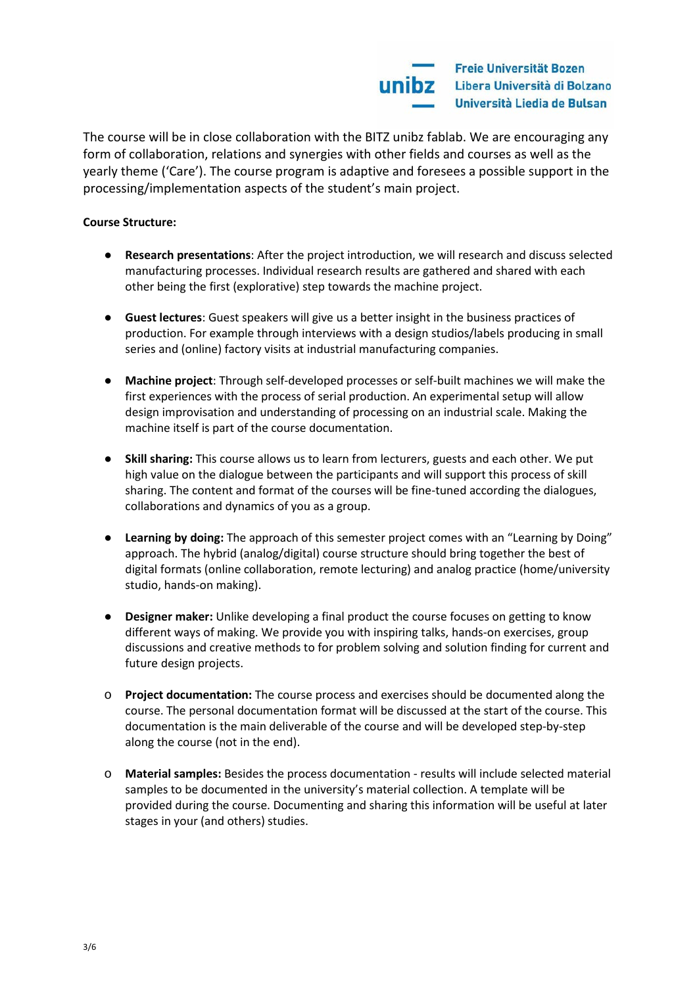

The course will be in close collaboration with the BITZ unibz fablab. We are encouraging any form of collaboration, relations and synergies with other fields and courses as well as the yearly theme ('Care'). The course program is adaptive and foresees a possible support in the processing/implementation aspects of the student's main project.

#### **Course Structure:**

- **Research presentations**: After the project introduction, we will research and discuss selected manufacturing processes. Individual research results are gathered and shared with each other being the first (explorative) step towards the machine project.
- **Guest lectures**: Guest speakers will give us a better insight in the business practices of production. For example through interviews with a design studios/labels producing in small series and (online) factory visits at industrial manufacturing companies.
- **Machine project**: Through self-developed processes or self-built machines we will make the first experiences with the process of serial production. An experimental setup will allow design improvisation and understanding of processing on an industrial scale. Making the machine itself is part of the course documentation.
- **Skill sharing:** This course allows us to learn from lecturers, guests and each other. We put high value on the dialogue between the participants and will support this process of skill sharing. The content and format of the courses will be fine-tuned according the dialogues, collaborations and dynamics of you as a group.
- **Learning by doing:** The approach of this semester project comes with an "Learning by Doing" approach. The hybrid (analog/digital) course structure should bring together the best of digital formats (online collaboration, remote lecturing) and analog practice (home/university studio, hands-on making).
- **Designer maker:** Unlike developing a final product the course focuses on getting to know different ways of making. We provide you with inspiring talks, hands-on exercises, group discussions and creative methods to for problem solving and solution finding for current and future design projects.
- o **Project documentation:** The course process and exercises should be documented along the course. The personal documentation format will be discussed at the start of the course. This documentation is the main deliverable of the course and will be developed step-by-step along the course (not in the end).
- o **Material samples:** Besides the process documentation results will include selected material samples to be documented in the university's material collection. A template will be provided during the course. Documenting and sharing this information will be useful at later stages in your (and others) studies.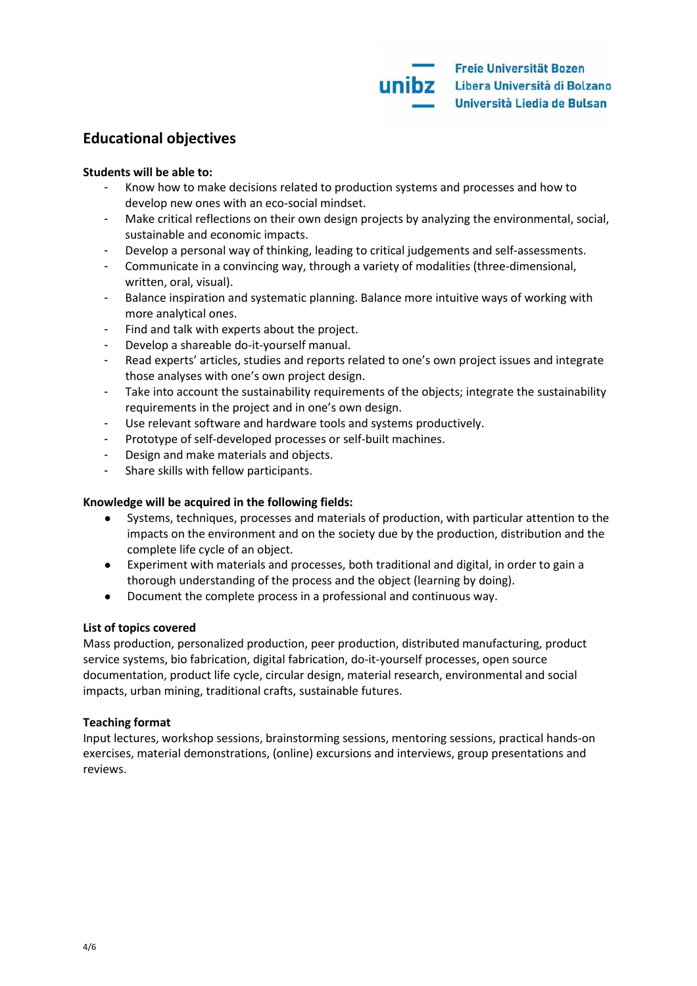### **Educational objectives**

#### **Students will be able to:**

- Know how to make decisions related to production systems and processes and how to develop new ones with an eco-social mindset.
- Make critical reflections on their own design projects by analyzing the environmental, social, sustainable and economic impacts.
- Develop a personal way of thinking, leading to critical judgements and self-assessments.
- Communicate in a convincing way, through a variety of modalities (three-dimensional, written, oral, visual).
- Balance inspiration and systematic planning. Balance more intuitive ways of working with more analytical ones.
- Find and talk with experts about the project.
- Develop a shareable do-it-yourself manual.
- Read experts' articles, studies and reports related to one's own project issues and integrate those analyses with one's own project design.
- Take into account the sustainability requirements of the objects; integrate the sustainability requirements in the project and in one's own design.
- Use relevant software and hardware tools and systems productively.
- Prototype of self-developed processes or self-built machines.
- Design and make materials and objects.
- Share skills with fellow participants.

#### **Knowledge will be acquired in the following fields:**

- Systems, techniques, processes and materials of production, with particular attention to the impacts on the environment and on the society due by the production, distribution and the complete life cycle of an object.
- Experiment with materials and processes, both traditional and digital, in order to gain a thorough understanding of the process and the object (learning by doing).
- Document the complete process in a professional and continuous way.

#### **List of topics covered**

Mass production, personalized production, peer production, distributed manufacturing, product service systems, bio fabrication, digital fabrication, do-it-yourself processes, open source documentation, product life cycle, circular design, material research, environmental and social impacts, urban mining, traditional crafts, sustainable futures.

#### **Teaching format**

Input lectures, workshop sessions, brainstorming sessions, mentoring sessions, practical hands-on exercises, material demonstrations, (online) excursions and interviews, group presentations and reviews.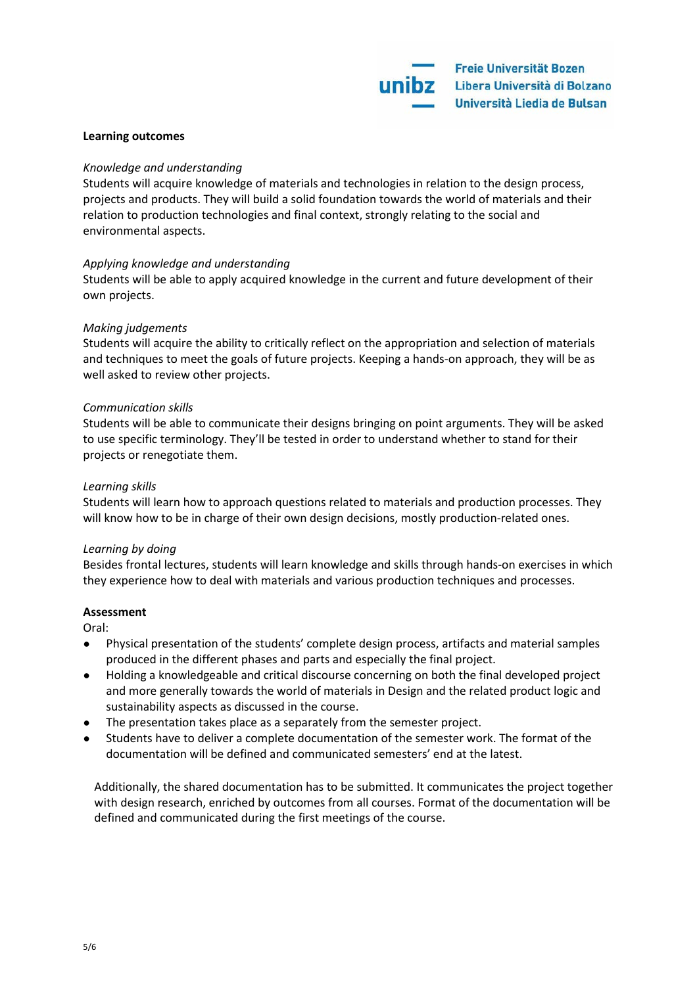#### **Learning outcomes**

#### *Knowledge and understanding*

Students will acquire knowledge of materials and technologies in relation to the design process, projects and products. They will build a solid foundation towards the world of materials and their relation to production technologies and final context, strongly relating to the social and environmental aspects.

#### *Applying knowledge and understanding*

Students will be able to apply acquired knowledge in the current and future development of their own projects.

#### *Making judgements*

Students will acquire the ability to critically reflect on the appropriation and selection of materials and techniques to meet the goals of future projects. Keeping a hands-on approach, they will be as well asked to review other projects.

#### *Communication skills*

Students will be able to communicate their designs bringing on point arguments. They will be asked to use specific terminology. They'll be tested in order to understand whether to stand for their projects or renegotiate them.

#### *Learning skills*

Students will learn how to approach questions related to materials and production processes. They will know how to be in charge of their own design decisions, mostly production-related ones.

#### *Learning by doing*

Besides frontal lectures, students will learn knowledge and skills through hands-on exercises in which they experience how to deal with materials and various production techniques and processes.

#### **Assessment**

Oral:

- Physical presentation of the students' complete design process, artifacts and material samples produced in the different phases and parts and especially the final project.
- Holding a knowledgeable and critical discourse concerning on both the final developed project and more generally towards the world of materials in Design and the related product logic and sustainability aspects as discussed in the course.
- The presentation takes place as a separately from the semester project.
- Students have to deliver a complete documentation of the semester work. The format of the documentation will be defined and communicated semesters' end at the latest.

Additionally, the shared documentation has to be submitted. It communicates the project together with design research, enriched by outcomes from all courses. Format of the documentation will be defined and communicated during the first meetings of the course.